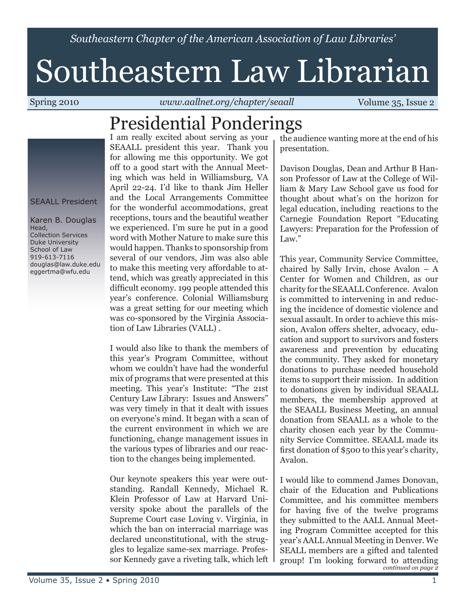*Southeastern Chapter of the American Association of Law Libraries'*

# Southeastern Law Librarian

Spring 2010 *www.aallnet.org/chapter/seaall* Volume 35, Issue 2

#### Presidential Ponderings

SEAALL President

Karen B. Douglas Head, Collection Services Duke University School of Law 919-613-7116 douglas@law.duke.edu eggertma@wfu.edu

I am really excited about serving as your SEAALL president this year. Thank you for allowing me this opportunity. We got off to a good start with the Annual Meeting which was held in Williamsburg, VA April 22-24. I'd like to thank Jim Heller and the Local Arrangements Committee for the wonderful accommodations, great receptions, tours and the beautiful weather we experienced. I'm sure he put in a good word with Mother Nature to make sure this would happen. Thanks to sponsorship from several of our vendors, Jim was also able to make this meeting very affordable to attend, which was greatly appreciated in this difficult economy. 199 people attended this year's conference. Colonial Williamsburg was a great setting for our meeting which was co-sponsored by the Virginia Association of Law Libraries (VALL) .

I would also like to thank the members of this year's Program Committee, without whom we couldn't have had the wonderful mix of programs that were presented at this meeting. This year's Institute: "The 21st Century Law Library: Issues and Answers" was very timely in that it dealt with issues on everyone's mind. It began with a scan of the current environment in which we are functioning, change management issues in the various types of libraries and our reaction to the changes being implemented.

Our keynote speakers this year were outstanding. Randall Kennedy, Michael R. Klein Professor of Law at Harvard University spoke about the parallels of the Supreme Court case Loving v. Virginia, in which the ban on interracial marriage was declared unconstitutional, with the struggles to legalize same-sex marriage. Professor Kennedy gave a riveting talk, which left

the audience wanting more at the end of his presentation.

Davison Douglas, Dean and Arthur B Hanson Professor of Law at the College of William & Mary Law School gave us food for thought about what's on the horizon for legal education, including reactions to the Carnegie Foundation Report "Educating Lawyers: Preparation for the Profession of Law."

This year, Community Service Committee, chaired by Sally Irvin, chose Avalon – A Center for Women and Children, as our charity for the SEAALL Conference. Avalon is committed to intervening in and reducing the incidence of domestic violence and sexual assault. In order to achieve this mission, Avalon offers shelter, advocacy, education and support to survivors and fosters awareness and prevention by educating the community. They asked for monetary donations to purchase needed household items to support their mission. In addition to donations given by individual SEAALL members, the membership approved at the SEAALL Business Meeting, an annual donation from SEAALL as a whole to the charity chosen each year by the Community Service Committee. SEAALL made its first donation of \$500 to this year's charity, Avalon.

*continued on page 2* I would like to commend James Donovan, chair of the Education and Publications Committee, and his committee members for having five of the twelve programs they submitted to the AALL Annual Meeting Program Committee accepted for this year's AALL Annual Meeting in Denver. We SEALL members are a gifted and talented group! I'm looking forward to attending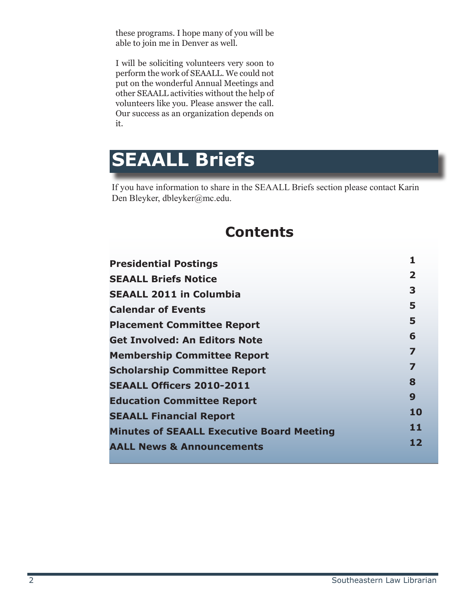these programs. I hope many of you will be able to join me in Denver as well.

I will be soliciting volunteers very soon to perform the work of SEAALL. We could not put on the wonderful Annual Meetings and other SEAALL activities without the help of volunteers like you. Please answer the call. Our success as an organization depends on it.

#### **SEAALL Briefs**

If you have information to share in the SEAALL Briefs section please contact Karin Den Bleyker, dbleyker@mc.edu.

#### **Contents**

| <b>Presidential Postings</b>                     | 1                       |
|--------------------------------------------------|-------------------------|
| <b>SEAALL Briefs Notice</b>                      | $\overline{\mathbf{2}}$ |
| <b>SEAALL 2011 in Columbia</b>                   | 3                       |
| <b>Calendar of Events</b>                        | 5                       |
| <b>Placement Committee Report</b>                | 5                       |
| <b>Get Involved: An Editors Note</b>             | 6                       |
| <b>Membership Committee Report</b>               | $\overline{\mathbf{z}}$ |
| <b>Scholarship Committee Report</b>              | $\overline{\mathbf{z}}$ |
| <b>SEAALL Officers 2010-2011</b>                 | 8                       |
| <b>Education Committee Report</b>                | 9                       |
| <b>SEAALL Financial Report</b>                   | 10                      |
| <b>Minutes of SEAALL Executive Board Meeting</b> | 11                      |
| <b>AALL News &amp; Announcements</b>             | 12                      |
|                                                  |                         |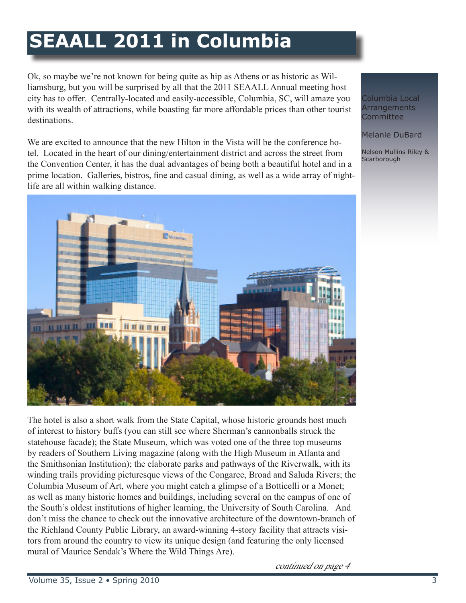## **SEAALL 2011 in Columbia**

Ok, so maybe we're not known for being quite as hip as Athens or as historic as Williamsburg, but you will be surprised by all that the 2011 SEAALL Annual meeting host city has to offer. Centrally-located and easily-accessible, Columbia, SC, will amaze you with its wealth of attractions, while boasting far more affordable prices than other tourist destinations.

We are excited to announce that the new Hilton in the Vista will be the conference hotel. Located in the heart of our dining/entertainment district and across the street from the Convention Center, it has the dual advantages of being both a beautiful hotel and in a prime location. Galleries, bistros, fine and casual dining, as well as a wide array of nightlife are all within walking distance.



The hotel is also a short walk from the State Capital, whose historic grounds host much of interest to history buffs (you can still see where Sherman's cannonballs struck the statehouse facade); the State Museum, which was voted one of the three top museums by readers of Southern Living magazine (along with the High Museum in Atlanta and the Smithsonian Institution); the elaborate parks and pathways of the Riverwalk, with its winding trails providing picturesque views of the Congaree, Broad and Saluda Rivers; the Columbia Museum of Art, where you might catch a glimpse of a Botticelli or a Monet; as well as many historic homes and buildings, including several on the campus of one of the South's oldest institutions of higher learning, the University of South Carolina. And don't miss the chance to check out the innovative architecture of the downtown-branch of the Richland County Public Library, an award-winning 4-story facility that attracts visitors from around the country to view its unique design (and featuring the only licensed mural of Maurice Sendak's Where the Wild Things Are).

continued on page 4

Columbia Local **Arrangements Committee** 

Melanie DuBard

Nelson Mullins Riley & **Scarborough**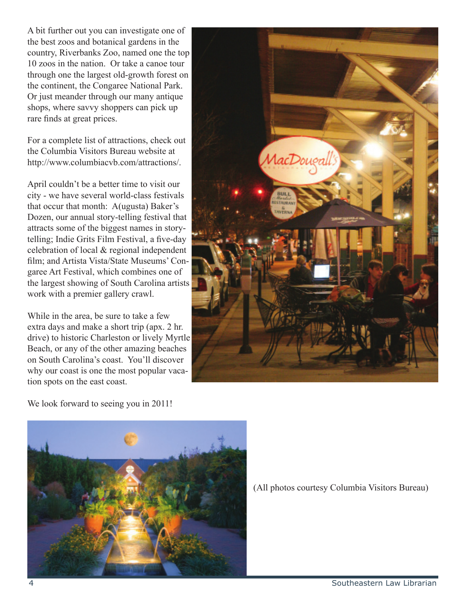A bit further out you can investigate one of the best zoos and botanical gardens in the country, Riverbanks Zoo, named one the top 10 zoos in the nation. Or take a canoe tour through one the largest old-growth forest on the continent, the Congaree National Park. Or just meander through our many antique shops, where savvy shoppers can pick up rare finds at great prices.

For a complete list of attractions, check out the Columbia Visitors Bureau website at http://www.columbiacvb.com/attractions/.

April couldn't be a better time to visit our city - we have several world-class festivals that occur that month: A(ugusta) Baker's Dozen, our annual story-telling festival that attracts some of the biggest names in storytelling; Indie Grits Film Festival, a five-day celebration of local & regional independent film; and Artista Vista/State Museums' Congaree Art Festival, which combines one of the largest showing of South Carolina artists work with a premier gallery crawl.

While in the area, be sure to take a few extra days and make a short trip (apx. 2 hr. drive) to historic Charleston or lively Myrtle Beach, or any of the other amazing beaches on South Carolina's coast. You'll discover why our coast is one the most popular vacation spots on the east coast.



We look forward to seeing you in 2011!



(All photos courtesy Columbia Visitors Bureau)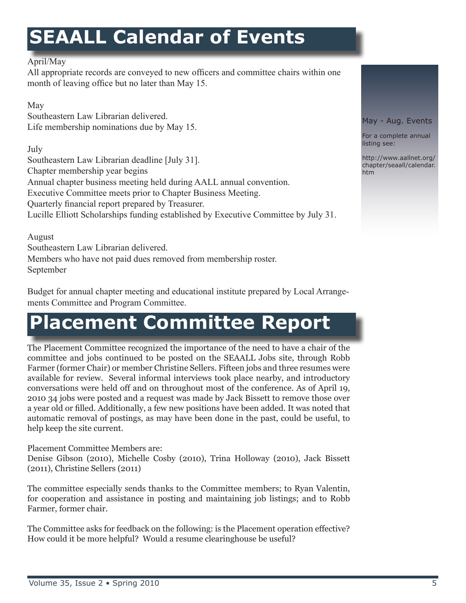### **SEAALL Calendar of Events**

#### April/May

All appropriate records are conveyed to new officers and committee chairs within one month of leaving office but no later than May 15.

#### May

Southeastern Law Librarian delivered. Life membership nominations due by May 15.

July

Southeastern Law Librarian deadline [July 31]. Chapter membership year begins Annual chapter business meeting held during AALL annual convention. Executive Committee meets prior to Chapter Business Meeting. Quarterly financial report prepared by Treasurer. Lucille Elliott Scholarships funding established by Executive Committee by July 31.

August Southeastern Law Librarian delivered. Members who have not paid dues removed from membership roster. September

Budget for annual chapter meeting and educational institute prepared by Local Arrangements Committee and Program Committee.

#### **Placement Committee Report**

The Placement Committee recognized the importance of the need to have a chair of the committee and jobs continued to be posted on the SEAALL Jobs site, through Robb Farmer (former Chair) or member Christine Sellers. Fifteen jobs and three resumes were available for review. Several informal interviews took place nearby, and introductory conversations were held off and on throughout most of the conference. As of April 19, 2010 34 jobs were posted and a request was made by Jack Bissett to remove those over a year old or filled. Additionally, a few new positions have been added. It was noted that automatic removal of postings, as may have been done in the past, could be useful, to help keep the site current.

Placement Committee Members are: Denise Gibson (2010), Michelle Cosby (2010), Trina Holloway (2010), Jack Bissett (2011), Christine Sellers (2011)

The committee especially sends thanks to the Committee members; to Ryan Valentin, for cooperation and assistance in posting and maintaining job listings; and to Robb Farmer, former chair.

The Committee asks for feedback on the following: is the Placement operation effective? How could it be more helpful? Would a resume clearinghouse be useful?

May - Aug. Events

For a complete annual listing see:

http://www.aallnet.org/ chapter/seaall/calendar. htm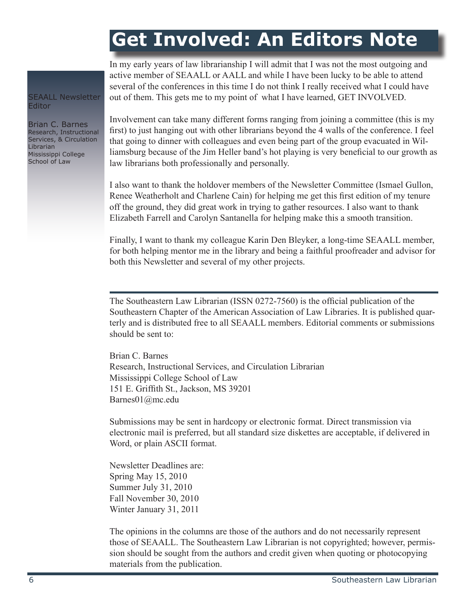#### **Get Involved: An Editors Note**

In my early years of law librarianship I will admit that I was not the most outgoing and active member of SEAALL or AALL and while I have been lucky to be able to attend several of the conferences in this time I do not think I really received what I could have out of them. This gets me to my point of what I have learned, GET INVOLVED.

Involvement can take many different forms ranging from joining a committee (this is my first) to just hanging out with other librarians beyond the 4 walls of the conference. I feel that going to dinner with colleagues and even being part of the group evacuated in Williamsburg because of the Jim Heller band's hot playing is very beneficial to our growth as law librarians both professionally and personally.

I also want to thank the holdover members of the Newsletter Committee (Ismael Gullon, Renee Weatherholt and Charlene Cain) for helping me get this first edition of my tenure off the ground, they did great work in trying to gather resources. I also want to thank Elizabeth Farrell and Carolyn Santanella for helping make this a smooth transition.

Finally, I want to thank my colleague Karin Den Bleyker, a long-time SEAALL member, for both helping mentor me in the library and being a faithful proofreader and advisor for both this Newsletter and several of my other projects.

The Southeastern Law Librarian (ISSN 0272-7560) is the official publication of the Southeastern Chapter of the American Association of Law Libraries. It is published quarterly and is distributed free to all SEAALL members. Editorial comments or submissions should be sent to:

Brian C. Barnes Research, Instructional Services, and Circulation Librarian Mississippi College School of Law 151 E. Griffith St., Jackson, MS 39201 Barnes01@mc.edu

Submissions may be sent in hardcopy or electronic format. Direct transmission via electronic mail is preferred, but all standard size diskettes are acceptable, if delivered in Word, or plain ASCII format.

Newsletter Deadlines are: Spring May 15, 2010 Summer July 31, 2010 Fall November 30, 2010 Winter January 31, 2011

The opinions in the columns are those of the authors and do not necessarily represent those of SEAALL. The Southeastern Law Librarian is not copyrighted; however, permission should be sought from the authors and credit given when quoting or photocopying materials from the publication.

SEAALL Newsletter Editor

Brian C. Barnes Research, Instructional Services, & Circulation Librarian Mississippi College School of Law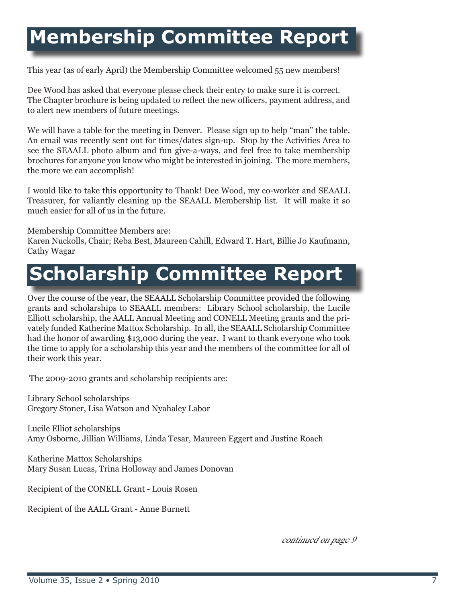#### **Membership Committee Report**

This year (as of early April) the Membership Committee welcomed 55 new members!

Dee Wood has asked that everyone please check their entry to make sure it is correct. The Chapter brochure is being updated to reflect the new officers, payment address, and to alert new members of future meetings.

We will have a table for the meeting in Denver. Please sign up to help "man" the table. An email was recently sent out for times/dates sign-up. Stop by the Activities Area to see the SEAALL photo album and fun give-a-ways, and feel free to take membership brochures for anyone you know who might be interested in joining. The more members, the more we can accomplish!

I would like to take this opportunity to Thank! Dee Wood, my co-worker and SEAALL Treasurer, for valiantly cleaning up the SEAALL Membership list. It will make it so much easier for all of us in the future.

Membership Committee Members are: Karen Nuckolls, Chair; Reba Best, Maureen Cahill, Edward T. Hart, Billie Jo Kaufmann, Cathy Wagar

### **Scholarship Committee Report**

Over the course of the year, the SEAALL Scholarship Committee provided the following grants and scholarships to SEAALL members: Library School scholarship, the Lucile Elliott scholarship, the AALL Annual Meeting and CONELL Meeting grants and the privately funded Katherine Mattox Scholarship. In all, the SEAALL Scholarship Committee had the honor of awarding \$13,000 during the year. I want to thank everyone who took the time to apply for a scholarship this year and the members of the committee for all of their work this year.

The 2009-2010 grants and scholarship recipients are:

Library School scholarships Gregory Stoner, Lisa Watson and Nyahaley Labor

Lucile Elliot scholarships Amy Osborne, Jillian Williams, Linda Tesar, Maureen Eggert and Justine Roach

Katherine Mattox Scholarships Mary Susan Lucas, Trina Holloway and James Donovan

Recipient of the CONELL Grant - Louis Rosen

Recipient of the AALL Grant - Anne Burnett

continued on page 9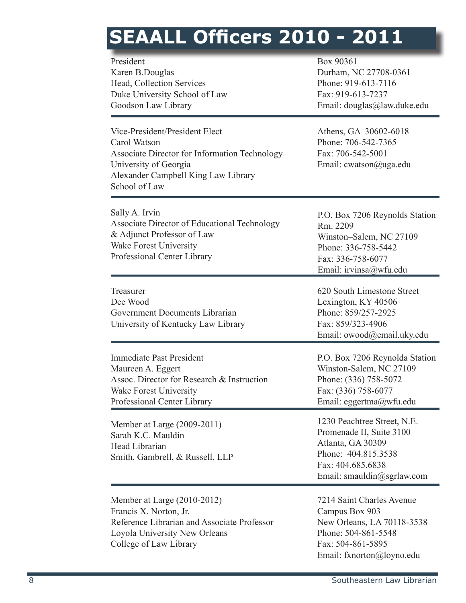# **SEAALL Officers 2010 - 2011**

| President<br>Karen B.Douglas<br>Head, Collection Services<br>Duke University School of Law<br>Goodson Law Library                                                                | Box 90361<br>Durham, NC 27708-0361<br>Phone: 919-613-7116<br>Fax: 919-613-7237<br>Email: douglas@law.duke.edu                                          |
|----------------------------------------------------------------------------------------------------------------------------------------------------------------------------------|--------------------------------------------------------------------------------------------------------------------------------------------------------|
| Vice-President/President Elect<br>Carol Watson<br>Associate Director for Information Technology<br>University of Georgia<br>Alexander Campbell King Law Library<br>School of Law | Athens, GA 30602-6018<br>Phone: 706-542-7365<br>Fax: 706-542-5001<br>Email: cwatson@uga.edu                                                            |
| Sally A. Irvin<br>Associate Director of Educational Technology<br>& Adjunct Professor of Law<br>Wake Forest University<br>Professional Center Library                            | P.O. Box 7206 Reynolds Station<br>Rm. 2209<br>Winston-Salem, NC 27109<br>Phone: 336-758-5442<br>Fax: 336-758-6077<br>Email: irvinsa@wfu.edu            |
| Treasurer<br>Dee Wood<br>Government Documents Librarian<br>University of Kentucky Law Library                                                                                    | 620 South Limestone Street<br>Lexington, KY 40506<br>Phone: 859/257-2925<br>Fax: 859/323-4906<br>Email: owood@email.uky.edu                            |
| <b>Immediate Past President</b><br>Maureen A. Eggert<br>Assoc. Director for Research & Instruction<br><b>Wake Forest University</b><br>Professional Center Library               | P.O. Box 7206 Reynolda Station<br>Winston-Salem, NC 27109<br>Phone: (336) 758-5072<br>Fax: (336) 758-6077<br>Email: eggertma@wfu.edu                   |
| Member at Large (2009-2011)<br>Sarah K.C. Mauldin<br>Head Librarian<br>Smith, Gambrell, & Russell, LLP                                                                           | 1230 Peachtree Street, N.E.<br>Promenade II, Suite 3100<br>Atlanta, GA 30309<br>Phone: 404.815.3538<br>Fax: 404.685.6838<br>Email: smauldin@sgrlaw.com |
| Member at Large (2010-2012)<br>Francis X. Norton, Jr.<br>Reference Librarian and Associate Professor<br>Loyola University New Orleans<br>College of Law Library                  | 7214 Saint Charles Avenue<br>Campus Box 903<br>New Orleans, LA 70118-3538<br>Phone: 504-861-5548<br>Fax: 504-861-5895<br>Email: fxnorton@loyno.edu     |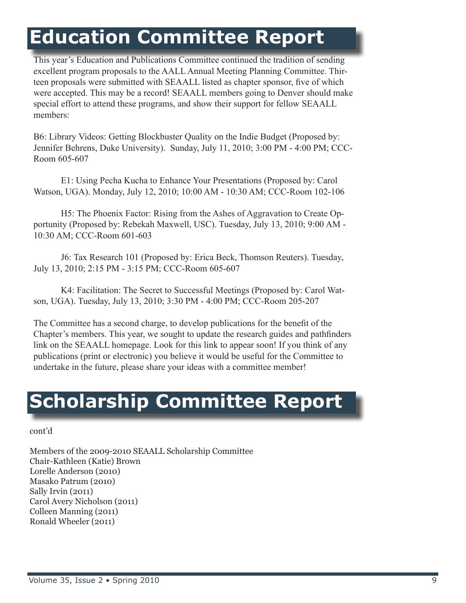#### **Education Committee Report**

This year's Education and Publications Committee continued the tradition of sending excellent program proposals to the AALL Annual Meeting Planning Committee. Thirteen proposals were submitted with SEAALL listed as chapter sponsor, five of which were accepted. This may be a record! SEAALL members going to Denver should make special effort to attend these programs, and show their support for fellow SEAALL members:

B6: Library Videos: Getting Blockbuster Quality on the Indie Budget (Proposed by: Jennifer Behrens, Duke University). Sunday, July 11, 2010; 3:00 PM - 4:00 PM; CCC-Room 605-607

E1: Using Pecha Kucha to Enhance Your Presentations (Proposed by: Carol Watson, UGA). Monday, July 12, 2010; 10:00 AM - 10:30 AM; CCC-Room 102-106

H5: The Phoenix Factor: Rising from the Ashes of Aggravation to Create Opportunity (Proposed by: Rebekah Maxwell, USC). Tuesday, July 13, 2010; 9:00 AM - 10:30 AM; CCC-Room 601-603

J6: Tax Research 101 (Proposed by: Erica Beck, Thomson Reuters). Tuesday, July 13, 2010; 2:15 PM - 3:15 PM; CCC-Room 605-607

K4: Facilitation: The Secret to Successful Meetings (Proposed by: Carol Watson, UGA). Tuesday, July 13, 2010; 3:30 PM - 4:00 PM; CCC-Room 205-207

The Committee has a second charge, to develop publications for the benefit of the Chapter's members. This year, we sought to update the research guides and pathfinders link on the SEAALL homepage. Look for this link to appear soon! If you think of any publications (print or electronic) you believe it would be useful for the Committee to undertake in the future, please share your ideas with a committee member!

#### **Scholarship Committee Report**

cont'd

Members of the 2009-2010 SEAALL Scholarship Committee Chair-Kathleen (Katie) Brown Lorelle Anderson (2010) Masako Patrum (2010) Sally Irvin (2011) Carol Avery Nicholson (2011) Colleen Manning (2011) Ronald Wheeler (2011)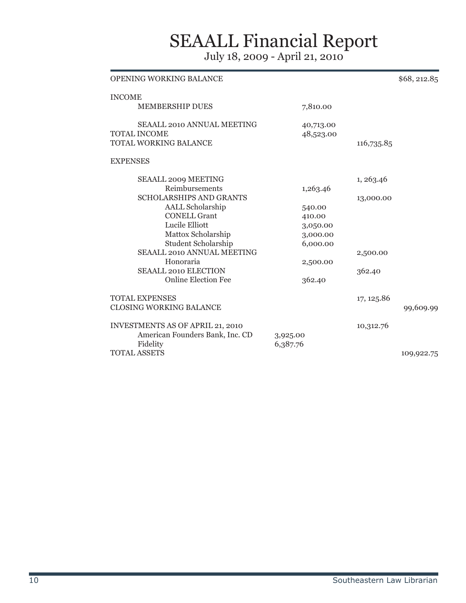#### SEAALL Financial Report

July 18, 2009 - April 21, 2010

| <b>OPENING WORKING BALANCE</b>                            |           |            | \$68, 212.85 |
|-----------------------------------------------------------|-----------|------------|--------------|
| <b>INCOME</b>                                             |           |            |              |
| <b>MEMBERSHIP DUES</b>                                    | 7,810.00  |            |              |
| <b>SEAALL 2010 ANNUAL MEETING</b>                         | 40,713.00 |            |              |
| <b>TOTAL INCOME</b>                                       | 48,523.00 |            |              |
| TOTAL WORKING BALANCE                                     |           | 116,735.85 |              |
| <b>EXPENSES</b>                                           |           |            |              |
| <b>SEAALL 2009 MEETING</b>                                |           | 1, 263.46  |              |
| Reimbursements                                            | 1,263.46  |            |              |
| <b>SCHOLARSHIPS AND GRANTS</b>                            |           | 13,000.00  |              |
| <b>AALL Scholarship</b>                                   | 540.00    |            |              |
| <b>CONELL Grant</b>                                       | 410.00    |            |              |
| Lucile Elliott                                            | 3,050.00  |            |              |
| Mattox Scholarship                                        | 3,000.00  |            |              |
| Student Scholarship                                       | 6,000.00  |            |              |
| <b>SEAALL 2010 ANNUAL MEETING</b>                         |           | 2,500.00   |              |
| Honoraria                                                 | 2,500.00  |            |              |
| <b>SEAALL 2010 ELECTION</b><br><b>Online Election Fee</b> | 362.40    | 362.40     |              |
|                                                           |           |            |              |
| <b>TOTAL EXPENSES</b>                                     |           | 17, 125.86 |              |
| <b>CLOSING WORKING BALANCE</b>                            |           |            | 99,609.99    |
| <b>INVESTMENTS AS OF APRIL 21, 2010</b>                   |           | 10,312.76  |              |
| American Founders Bank, Inc. CD                           | 3,925.00  |            |              |
| Fidelity                                                  | 6,387.76  |            |              |
| <b>TOTAL ASSETS</b>                                       |           |            | 109,922.75   |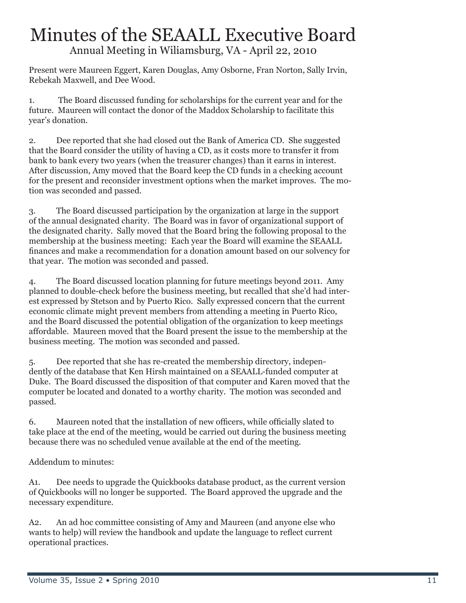#### Minutes of the SEAALL Executive Board Annual Meeting in Wiliamsburg, VA - April 22, 2010

Present were Maureen Eggert, Karen Douglas, Amy Osborne, Fran Norton, Sally Irvin, Rebekah Maxwell, and Dee Wood.

1. The Board discussed funding for scholarships for the current year and for the future. Maureen will contact the donor of the Maddox Scholarship to facilitate this year's donation.

2. Dee reported that she had closed out the Bank of America CD. She suggested that the Board consider the utility of having a CD, as it costs more to transfer it from bank to bank every two years (when the treasurer changes) than it earns in interest. After discussion, Amy moved that the Board keep the CD funds in a checking account for the present and reconsider investment options when the market improves. The motion was seconded and passed.

3. The Board discussed participation by the organization at large in the support of the annual designated charity. The Board was in favor of organizational support of the designated charity. Sally moved that the Board bring the following proposal to the membership at the business meeting: Each year the Board will examine the SEAALL finances and make a recommendation for a donation amount based on our solvency for that year. The motion was seconded and passed.

4. The Board discussed location planning for future meetings beyond 2011. Amy planned to double-check before the business meeting, but recalled that she'd had interest expressed by Stetson and by Puerto Rico. Sally expressed concern that the current economic climate might prevent members from attending a meeting in Puerto Rico, and the Board discussed the potential obligation of the organization to keep meetings affordable. Maureen moved that the Board present the issue to the membership at the business meeting. The motion was seconded and passed.

5. Dee reported that she has re-created the membership directory, independently of the database that Ken Hirsh maintained on a SEAALL-funded computer at Duke. The Board discussed the disposition of that computer and Karen moved that the computer be located and donated to a worthy charity. The motion was seconded and passed.

6. Maureen noted that the installation of new officers, while officially slated to take place at the end of the meeting, would be carried out during the business meeting because there was no scheduled venue available at the end of the meeting.

Addendum to minutes:

A1. Dee needs to upgrade the Quickbooks database product, as the current version of Quickbooks will no longer be supported. The Board approved the upgrade and the necessary expenditure.

A2. An ad hoc committee consisting of Amy and Maureen (and anyone else who wants to help) will review the handbook and update the language to reflect current operational practices.